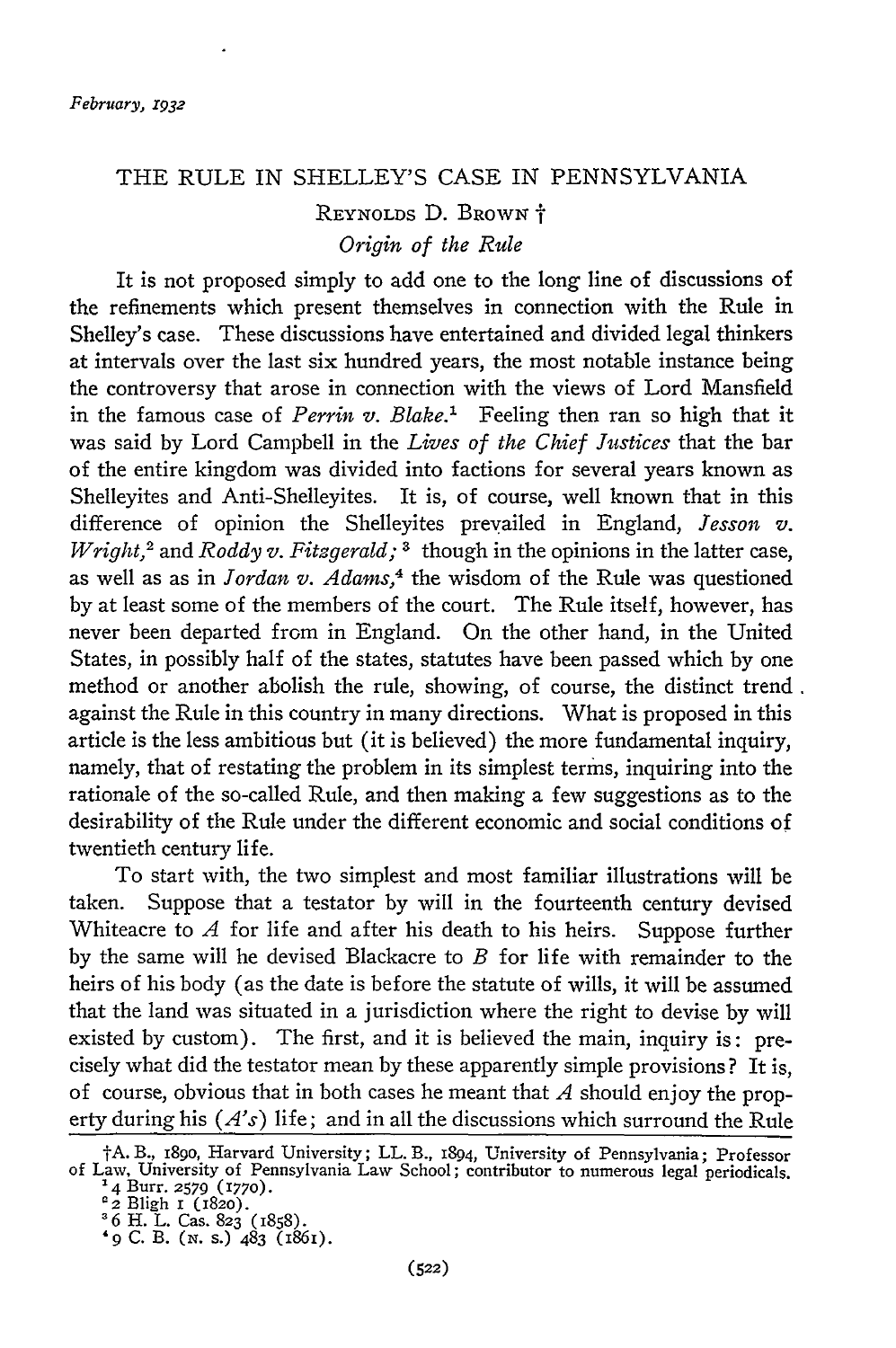#### THE RULE IN SHELLEY'S CASE IN PENNSYLVANIA

## REYNOLDS D. BROWN  $\dagger$ *Origin of the Rule*

It is not proposed simply to add one to the long line of discussions of the refinements which present themselves in connection with the Rule in Shelley's case. These discussions have entertained and divided legal thinkers at intervals over the last six hundred years, the most notable instance being the controversy that arose in connection with the views of Lord Mansfield in the famous case of *Perrin v. Blake.'* Feeling then ran so high that it was said by Lord Campbell in the *Lives of the Chief Justices* that the bar of the entire kingdom was divided into factions for several years known as Shelleyites and Anti-Shelleyites. It is, of course, well known that in this difference of opinion the Shelleyites prevailed in England, *Jesson v. Wright,2* and *Roddy v. Fitzgerald; 3* though in the opinions in the latter case, as well as as in *Jordan v. Adams, <sup>4</sup>*the wisdom of the Rule was questioned by at least some of the members of the court. The Rule itself, however, has never been departed from in England. On the other hand, in the United States, in possibly half of the states, statutes have been passed which by one method or another abolish the rule, showing, of course, the distinct trend. against the Rule in this country in many directions. What is proposed in this article is the less ambitious but (it is believed) the more fundamental inquiry, namely, that of restating the problem in its simplest terms, inquiring into the rationale of the so-called Rule, and then making a few suggestions as to the desirability of the Rule under the different economic and social conditions of twentieth century life.

To start with, the two simplest and most familiar illustrations will be taken. Suppose that a testator by will in the fourteenth century devised Whiteacre to *A* for life and after his death to his heirs. Suppose further by the same will he devised Blackacre to *B* for life with remainder to the heirs of his body (as the date is before the statute of wills, it will be assumed that the land was situated in a jurisdiction where the right to devise by will existed by custom). The first, and it is believed the main, inquiry is: precisely what did the testator mean by these apparently simple provisions? It is, of course, obvious that in both cases he meant that *A* should enjoy the property during his *(A's)* life; and in all the discussions which surround the Rule

tA. B., i8go, Harvard University; LL. B., 1894, University of Pennsylvania; Professor of Law, University of Pennsylvania Law School; contributor to numerous legal periodicals. 4 Burr. **2579 (1770).**

**<sup>&#</sup>x27;2** Bligh i (1820).

<sup>&</sup>lt;sup>8</sup> 6 H. L. Cas. 823 (1858

*<sup>&#</sup>x27;9* **C. B. (N.** s.) 483 (1861).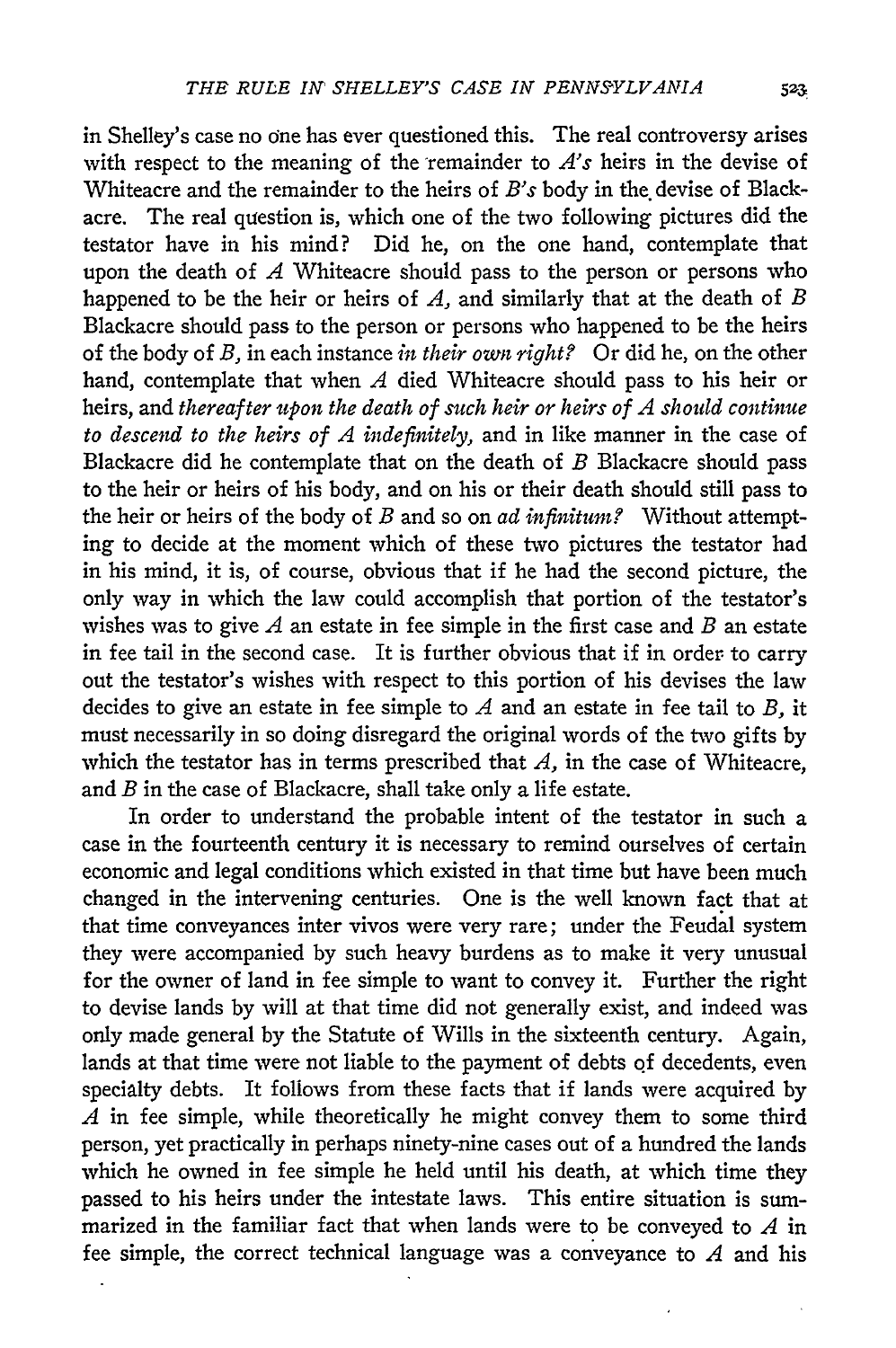in Shelley's case no one has ever questioned this. The real controversy arises with respect to the meaning of the remainder to  $A$ 's heirs in the devise of Whiteacre and the remainder to the heirs of *B's* body in the devise of Blackacre. The real question is, which one of the two following pictures did the testator have in his mind? Did he, on the one hand, contemplate that upon the death of *A* Whiteacre should pass to the person or persons who happened to be the heir or heirs of *A,* and similarly that at the death of *B* Blackacre should pass to the person or persons who happened to be the heirs of the body of *B,* in each instance *in their oun right?* Or did he, on the other hand, contemplate that when *A* died Whiteacre should pass to his heir or heirs, and *thereafter upon the death of such heir or heirs of A should continue to descend to the heirs of A indefinitely,* and in like manner in the case of Blackacre did he contemplate that on the death of *B* Blackacre should pass to the heir or heirs of his body, and on his or their death should still pass to the heir or heirs of the body of *B* and so on *ad infinitum?* Without attempting to decide at the moment which of these two pictures the testator had in his mind, it is, of course, obvious that if he had the second picture, the only way in which the law could accomplish that portion of the testator's wishes was to give *A* an estate in fee simple in the first case and *B* an estate in fee tail in the second case. It is further obvious that if in order to carry out the testator's wishes with respect to this portion of his devises the law decides to give an estate in fee simple to *A* and an estate in fee tail to *B,* it must necessarily in so doing disregard the original words of the two gifts **by** which the testator has in terms prescribed that *A*, in the case of Whiteacre, and *B* in the case of Blackacre, shall take only a life estate.

In order to understand the probable intent of the testator in such a case in the fourteenth century it is necessary to remind ourselves of certain economic and legal conditions which existed in that time but have been much changed in the intervening centuries. One is the well known fact that at that time conveyances inter vivos were very rare; under the Feudal system they were accompanied **by** such heavy burdens as to make it very unusual for the owner of land in fee simple to want to convey it. Further the right to devise lands **by** will at that time did not generally exist, and indeed was only made general **by** the Statute of Wills in the sixteenth century. Again, lands at that time were not liable to the payment of debts **of** decedents, even specialty debts. It follows from these facts that if lands were acquired **by** *A* in fee simple, while theoretically he might convey them to some third person, yet practically in perhaps ninety-nine cases out of a hundred the lands which he owned in fee simple he held until his death, at which time they passed to his heirs under the intestate laws. This entire situation is summarized in the familiar fact that when lands were to be conveyed to *A* in fee simple, the correct technical language was a conveyance to *A* and his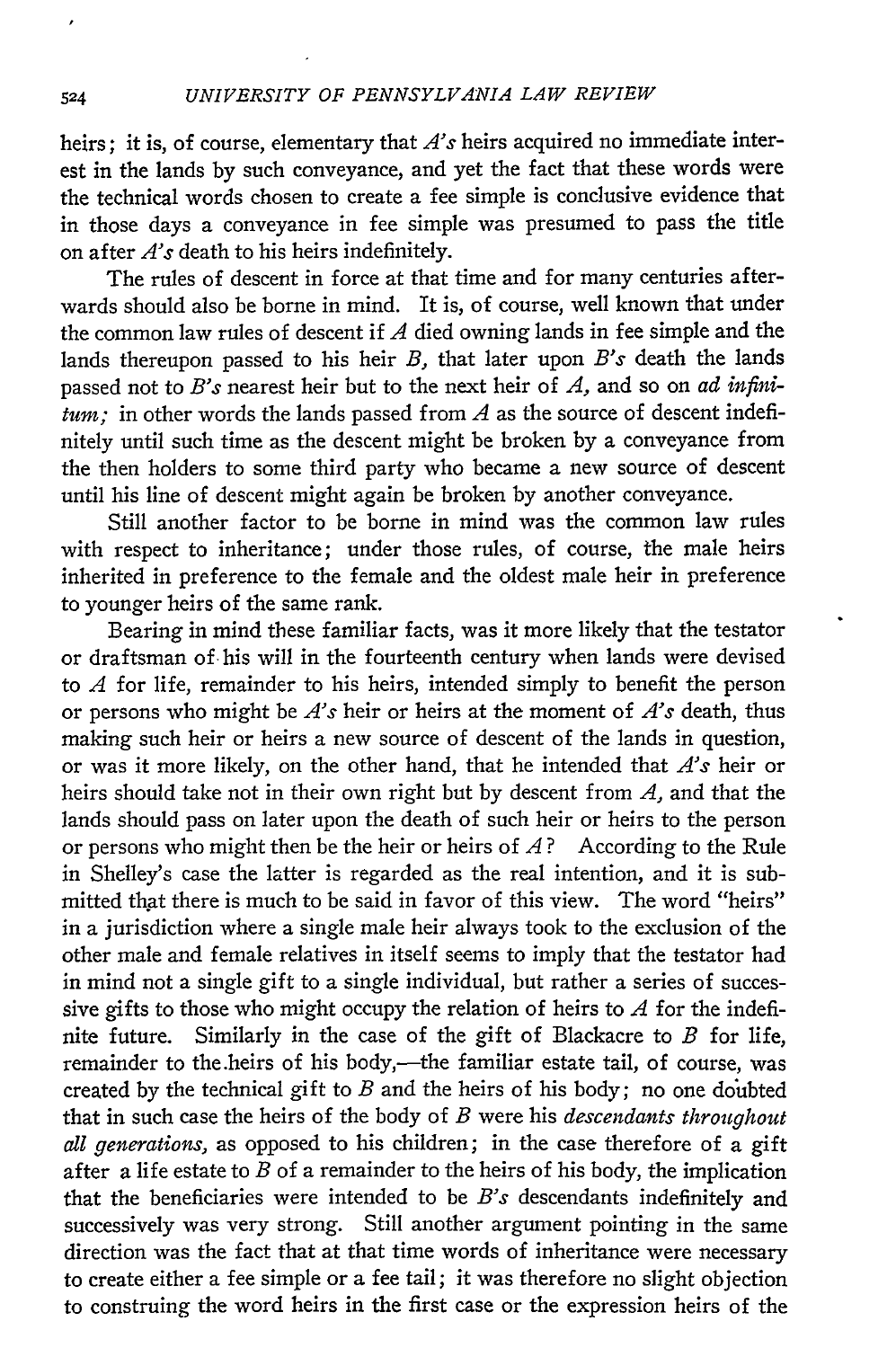heirs; it is, of course, elementary that *A's* heirs acquired no immediate interest in the lands by such conveyance, and yet the fact that these words were the technical words chosen to create a fee simple is conclusive evidence that in those days a conveyance in fee simple was presumed to pass the title on after *A's* death to his heirs indefinitely.

The rules of descent in force at that time and for many centuries afterwards should also be borne in mind. It is, of course, well known that under the common law rules of descent if *A* died owning lands in fee simple and the lands thereupon passed to his heir *B,* that later upon *B's* death the lands passed not to *B's* nearest heir but to the next heir of *A,* and so on *ad infinitum;* in other words the lands passed from *A* as the source of descent indefinitely until such time as the descent might be broken by a conveyance from the then holders to some third party who became a new source of descent until his line of descent might again be broken by another conveyance.

Still another factor to be borne in mind was the common law rules with respect to inheritance; under those rules, of course, the male heirs inherited in preference to the female and the oldest male heir in preference to younger heirs of the same rank.

Bearing in mind these familiar facts, was it more likely that the testator or draftsman of his will in the fourteenth century when lands were devised to *A* for life, remainder to his heirs, intended simply to benefit the person or persons who might be *A's* heir or heirs at the moment of *A's* death, thus making such heir or heirs a new source of descent of the lands in question, or was it more likely, on the other hand, that he intended that *A's* heir or heirs should take not in their own right but by descent from *A,* and that the lands should pass on later upon the death of such heir or heirs to the person or persons who might then be the heir or heirs of *A?* According to the Rule in Shelley's case the latter is regarded as the real intention, and it is submitted that there is much to be said in favor of this view. The word "heirs" in a jurisdiction where a single male heir always took to the exclusion of the other male and female relatives in itself seems to imply that the testator had in mind not a single gift to a single individual, but rather a series of successive gifts to those who might occupy the relation of heirs to *A* for the indefinite future. Similarly in the case of the gift of Blackacre to *B* for life, remainder to the heirs of his body,-the familiar estate tail, of course, was created by the technical gift to *B* and the heirs of his body; no one doubted that in such case the heirs of the body of *B* were his *descendants throughout all generations,* as opposed to his children; in the case therefore of a gift after a life estate to *B* of a remainder to the heirs of his body, the implication that the beneficiaries were intended to be *B's* descendants indefinitely and successively was very strong. Still another argument pointing in the same direction was the fact that at that time words of inheritance were necessary to create either a fee simple or a fee tail; it was therefore no slight objection to construing the word heirs in the first case or the expression heirs of the

524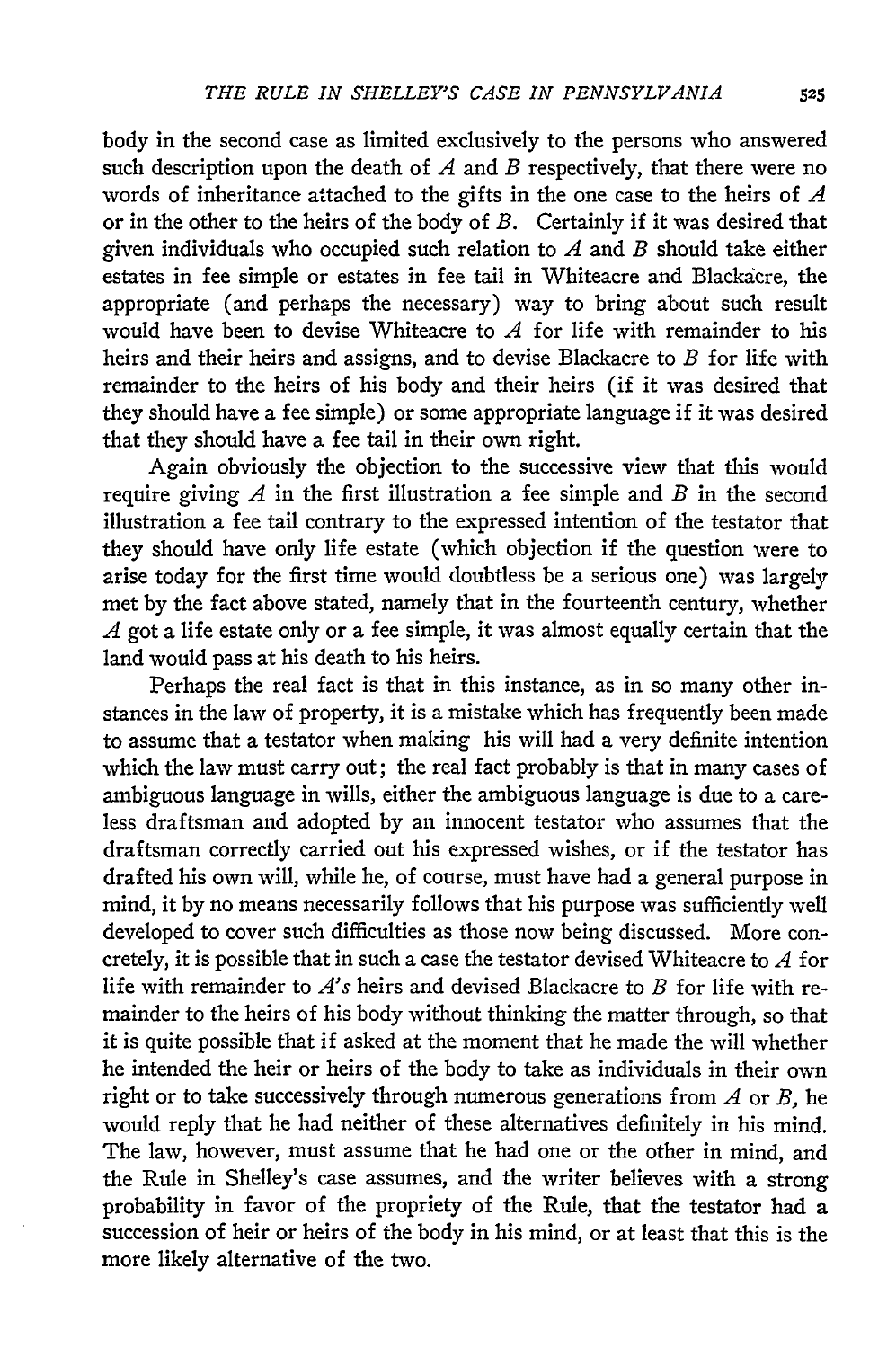body in the second case as limited exclusively to the persons who answered such description upon the death of *A* and *B* respectively, that there were no words of inheritance attached to the gifts in the one case to the heirs of *A* or in the other to the heirs of the body of *B.* Certainly if it was desired that given individuals who occupied such relation to *A* and *B* should take either estates in fee simple or estates in fee tail in Whiteacre and Blackacre, the appropriate (and perhaps the necessary) way to bring about such result would have been to devise Whiteacre to *A* for life with remainder to his heirs and their heirs and assigns, and to devise Blackacre to *B* for life with remainder to the heirs of his body and their heirs (if it was desired that they should have a fee simple) or some appropriate language if it was desired that they should have a fee tail in their own right.

Again obviously the objection to the successive view that this would require giving *A* in the first illustration a fee simple and *B* in the second illustration a fee tail contrary to the expressed intention of the testator that they should have only life estate (which objection if the question were to arise today for the first time would doubtless be a serious one) was largely met by the fact above stated, namely that in the fourteenth century, whether *A* got a life estate only or a fee simple, it was almost equally certain that the land would pass at his death to his heirs.

Perhaps the real fact is that in this instance, as in so many other instances in the law of property, it is a mistake which has frequently been made to assume that a testator when making his will had a very definite intention which the law must carry out; the real fact probably is that in many cases of ambiguous language in wills, either the ambiguous language is due to a careless draftsman and adopted by an innocent testator who assumes that the draftsman correctly carried out his expressed wishes, or if the testator has drafted his own will, while he, of course, must have had a general purpose in mind, it by no means necessarily follows that his purpose was sufficiently well developed to cover such difficulties as those now being discussed. More concretely, it is possible that in such a case the testator devised Whiteacre to *A* for life with remainder to *A's* heirs and devised Blackacre to *B* for life with remainder to the heirs of his body without thinking the matter through, so that it is quite possible that if asked at the moment that he made the will whether he intended the heir or heirs of the body to take as individuals in their own right or to take successively through numerous generations from *A* or *B,* he would reply that he had neither of these alternatives definitely in his mind. The law, however, must assume that he had one or the other in mind, and the Rule in Shelley's case assumes, and the writer believes with a strong probability in favor of the propriety of the Rule, that the testator had a succession of heir or heirs of the body in his mind, or at least that this is the more likely alternative of the two.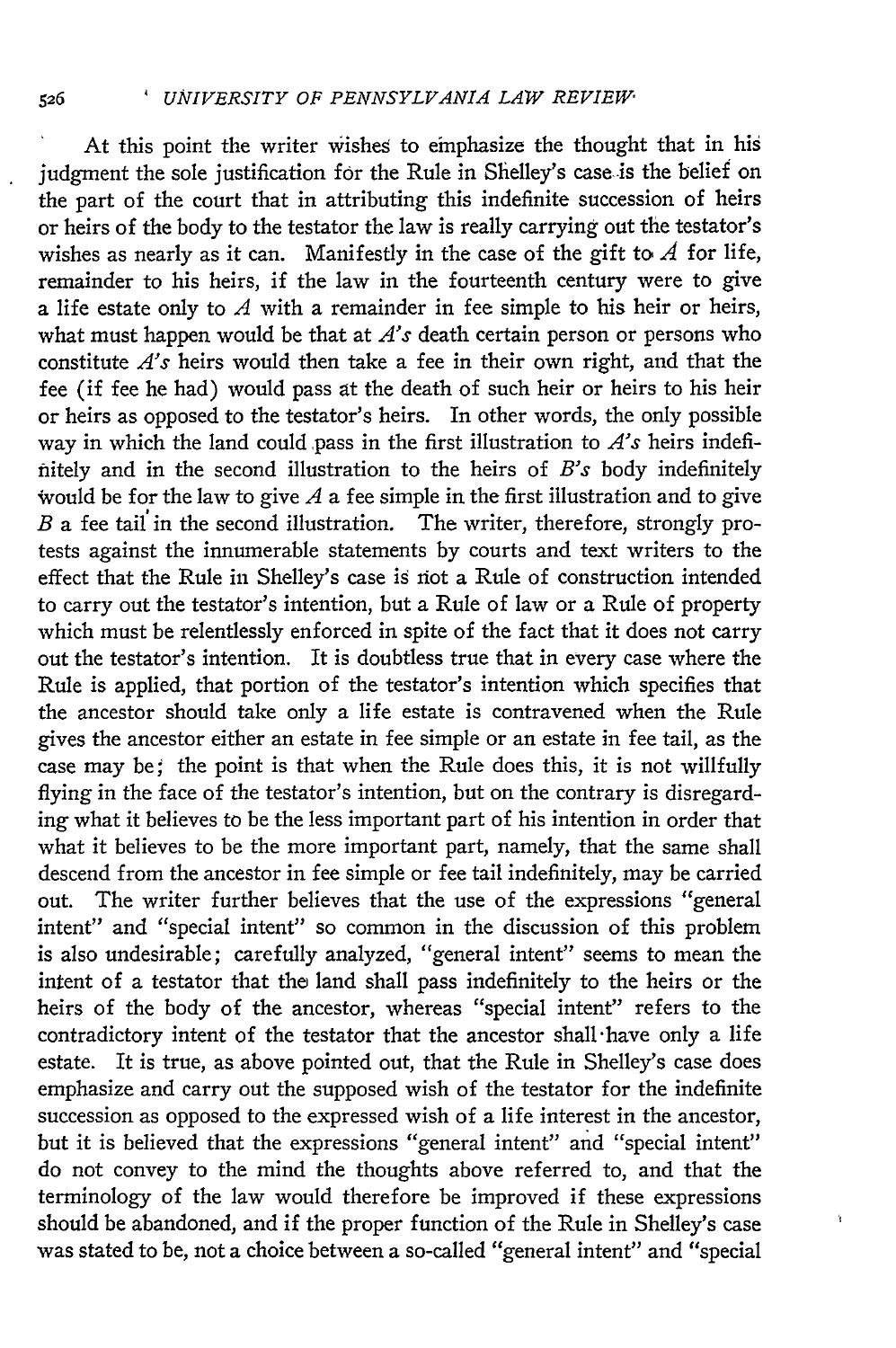At this point the writer wishes to emphasize the thought that in his judgment the sole justification for the Rule in Shelley's case is the belief or the part of the court that in attributing this indefinite succession of heirs or heirs of the body to the testator the law is really carrying out the testator's wishes as nearly as it can. Manifestly in the case of the gift to *A* for life, remainder to his heirs, if the law in the fourteenth century were to give a life estate only to *A* with a remainder in fee simple to his heir or heirs, what must happen would be that at *A's* death certain person or persons who constitute *A's* heirs would then take a fee in their own right, and that the fee (if fee he had) would pass at the death of such heir or heirs to his heir or heirs as opposed to the testator's heirs. In other words, the only possible way in which the land could pass in the first illustration to *A's* heirs indefinitely and in the second illustration to the heirs of *B's* body indefinitely would be for the law to give  $A$  a fee simple in the first illustration and to give *B* a fee tail' in the second illustration. The writer, therefore, strongly protests against the innumerable statements by courts and text writers to the effect that the Rule in Shelley's case is riot a Rule of construction intended to carry out the testator's intention, but a Rule of law or a Rule of property which must be relentlessly enforced in spite of the fact that it does not carry out the testator's intention. It is doubtless true that in every case where the Rule is applied, that portion of the testator's intention which specifies that the ancestor should take only a life estate is contravened when the Rule gives the ancestor either an estate in fee simple or an estate in fee tail, as the case may be; the point is that when the Rule does this, it is not willfully flying in the face of the testator's intention, but on the contrary is disregarding what it believes to be the less important part of his intention in order that what it believes to be the more important part, namely, that the same shall descend from the ancestor in fee simple or fee tail indefinitely, may be carried out. The writer further believes that the use of the expressions "general intent" and "special intent" so common in the discussion of this problem is also undesirable; carefully analyzed, "general intent" seems to mean the intent of a testator that the land shall pass indefinitely to the heirs or the heirs of the body of the ancestor, whereas "special intent" refers to the contradictory intent of the testator that the ancestor shall-have only a life estate. It is true, as above pointed out, that the Rule in Shelley's case does emphasize and carry out the supposed wish of the testator for the indefinite succession as opposed to the expressed wish of a life interest in the ancestor, but it is believed that the expressions "general intent" and "special intent" do not convey to the mind the thoughts above referred to, and that the terminology of the law would therefore be improved if these expressions should be abandoned, and if the proper function of the Rule in Shelley's case was stated to be, not a choice between a so-called "general intent" and "special

ń

526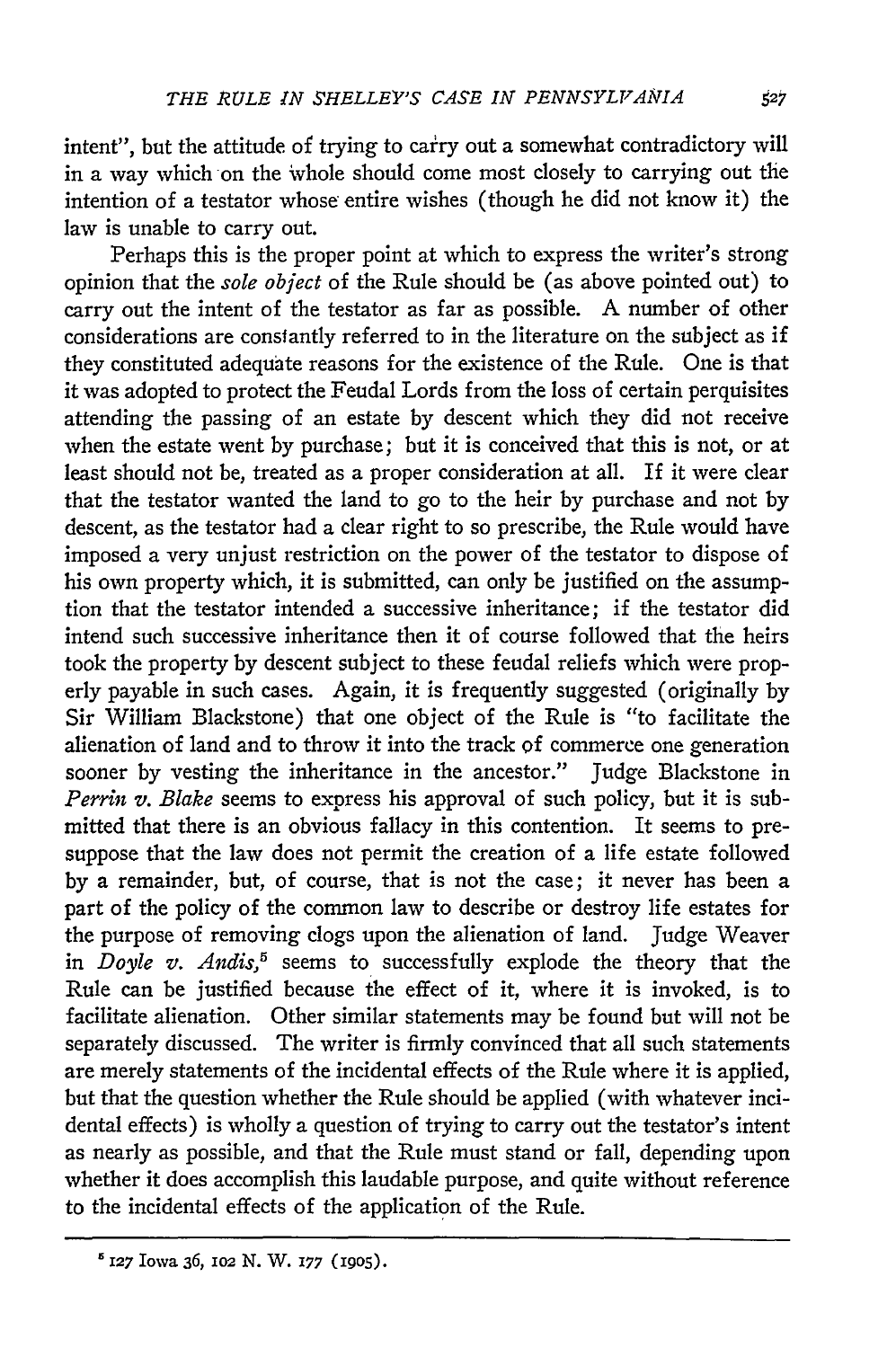intent", but the attitude of trying to carry out a somewhat contradictory will in a way which on the whole should come most closely to carrying out the intention of a testator whose entire wishes (though he did not know it) the law is unable to carry out.

Perhaps this is the proper point at which to express the writer's strong opinion that the *sole object* of the Rule should be (as above pointed out) to carry out the intent of the testator as far as possible. A number of other considerations are constantly referred to in the literature on the subject as if they constituted adequate reasons for the existence of the Rule. One is that it was adopted to protect the Feudal Lords from the loss of certain perquisites attending the passing of an estate by descent which they did not receive when the estate went by purchase; but it is conceived that this is not, or at least should not be, treated as a proper consideration at all. If it were clear that the testator wanted the land to go to the heir by purchase and not by descent, as the testator had a clear right to so prescribe, the Rule would have imposed a very unjust restriction on the power of the testator to dispose of his own property which, it is submitted, can only be justified on the assumption that the testator intended a successive inheritance; if the testator did intend such successive inheritance then it of course followed that the heirs took the property by descent subject to these feudal reliefs which were properly payable in such cases. Again, it is frequently suggested (originally by Sir William Blackstone) that one object of the Rule is "to facilitate the alienation of land and to throw it into the track of commerce one generation sooner by vesting the inheritance in the ancestor." Judge Blackstone in *Perrin v. Blake* seems to express his approval of such policy, but it is submitted that there is an obvious fallacy in this contention. It seems to presuppose that the law does not permit the creation of a life estate followed by a remainder, but, of course, that is not the case; it never has been a part of the policy of the common law to describe or destroy life estates for the purpose of removing clogs upon the alienation of land. Judge Weaver in *Doyle v. Andis5* seems to successfully explode the theory that the Rule can be justified because the effect of it, where it is invoked, is to facilitate alienation. Other similar statements may be found but will not be separately discussed. The writer is firmly convinced that all such statements are merely statements of the incidental effects of the Rule where it is applied, but that the question whether the Rule should be applied (with whatever incidental effects) is wholly a question of trying to carry out the testator's intent as nearly as possible, and that the Rule must stand or fall, depending upon whether it does accomplish this laudable purpose, and quite without reference to the incidental effects of the application of the Rule.

 $^{5}$  127 Iowa 36, 102 N. W. 177 (1905).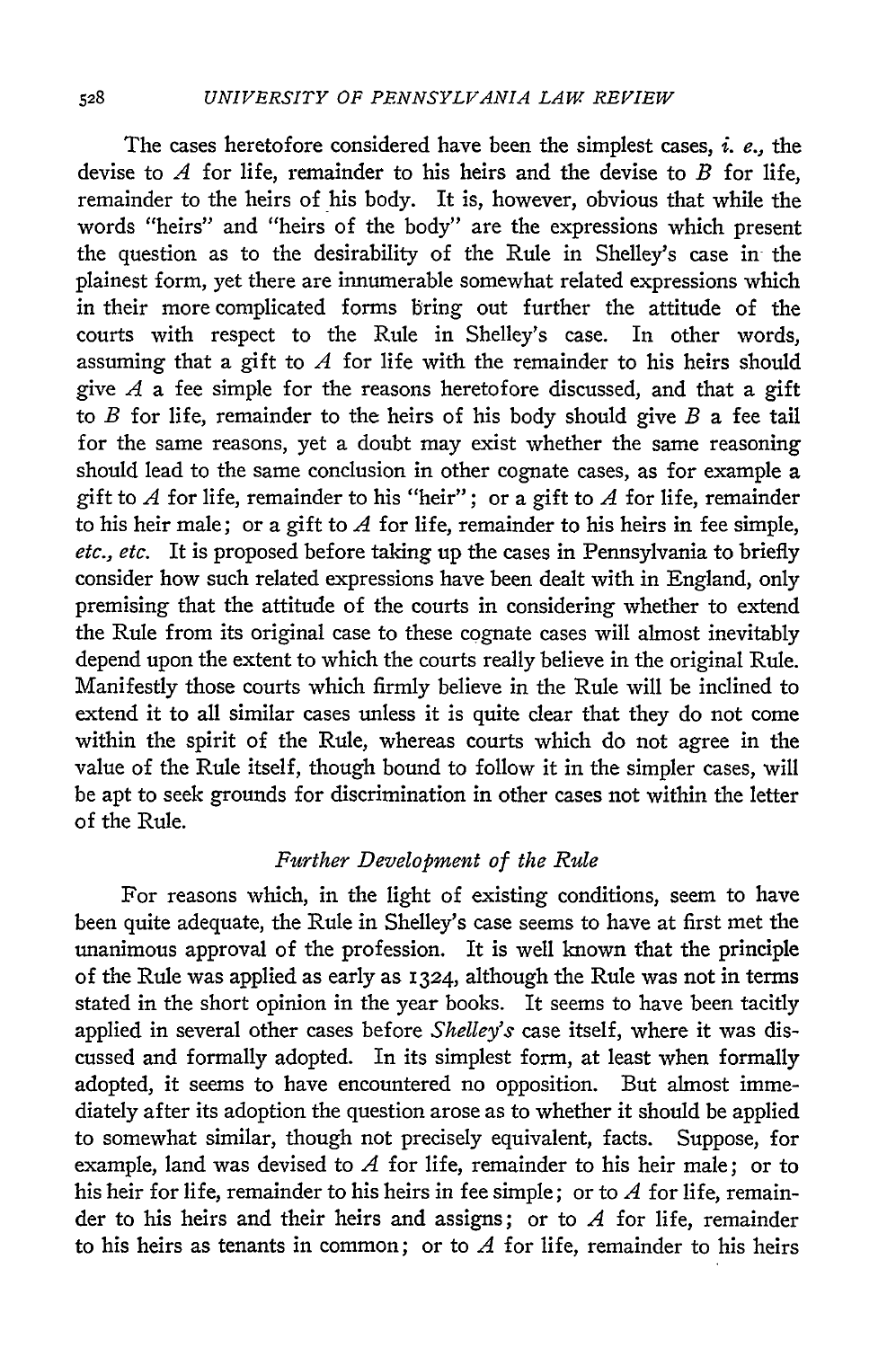The cases heretofore considered have been the simplest cases, *i.* e., the devise to *A* for life, remainder to his heirs and the devise to *B* for life, remainder to the heirs of his body. It is, however, obvious that while the words "heirs" and "heirs of the body" are the expressions which present the question as to the desirability of the Rule in Shelley's case in the plainest form, yet there are innumerable somewhat related expressions which in their more complicated forms bring out further the attitude of the courts with respect to the Rule in Shelley's case. In other words, assuming that a gift to *A* for life with the remainder to his heirs should give *A* a fee simple for the reasons heretofore discussed, and that a gift to *B* for life, remainder to the heirs of his body should give *B* a fee tail for the same reasons, yet a doubt may exist whether the same reasoning should lead to the same conclusion in other cognate cases, as for example a gift to *A* for life, remainder to his "heir"; or a gift to *A* for life, remainder to his heir male; or a gift to *A* for life, remainder to his heirs in fee simple, etc., etc. It is proposed before taking up the cases in Pennsylvania to briefly consider how such related expressions have been dealt with in England, only premising that the attitude of the courts in considering whether to extend the Rule from its original case to these cognate cases will almost inevitably depend upon the extent to which the courts really believe in the original Rule. Manifestly those courts which firmly believe in the Rule will be inclined to extend it to all similar cases unless it is quite *clear* that they do not come within the spirit of the Rule, whereas courts which do not agree in the value of the Rule itself, though bound to follow it in the simpler cases, will be apt to seek grounds for discrimination in other cases not within the letter of the Rule.

### *Further Development of the Rule*

For reasons which, in the light of existing conditions, seem to have been quite adequate, the Rule in Shelley's case seems to have at first met the unanimous approval of the profession. It is well known that the principle of the Rule was applied as early as 1324, although the Rule was not in terms stated in the short opinion in the year books. It seems to have been tacitly applied in several other cases before *Shelley's* case itself, where it was discussed and formally adopted. In its simplest form, at least when formally adopted, it seems to have encountered no opposition. But almost immediately after its adoption the question arose as to whether it should be applied to somewhat similar, though not precisely equivalent, facts. Suppose, for example, land was devised to *A* for life, remainder to his heir male; or to his heir for life, remainder to his heirs in fee simple; or to *A* for life, remainder to his heirs and their heirs and assigns; or to *A* for life, remainder to his heirs as tenants in common; or to *A* for life, remainder to his heirs

528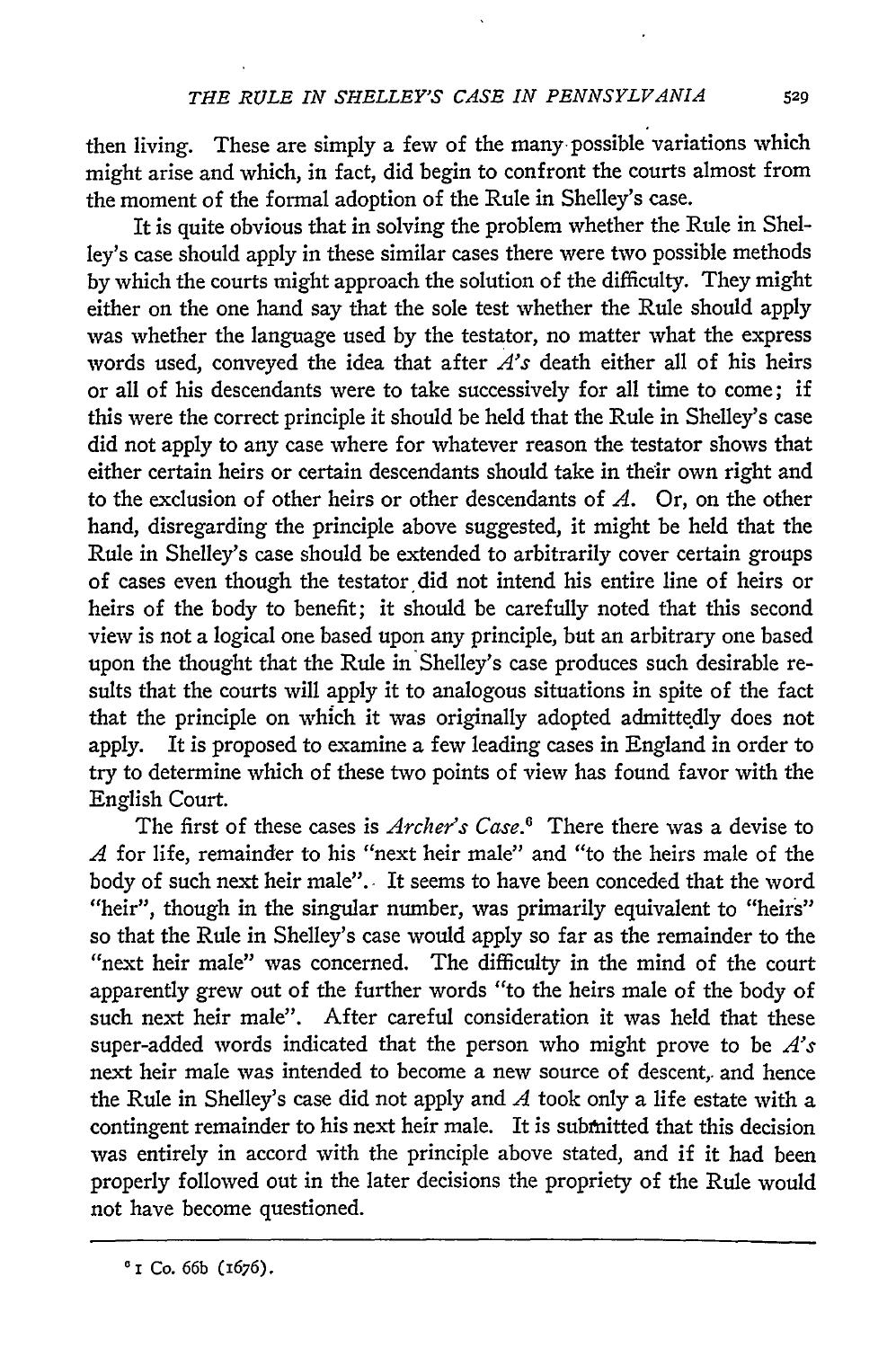then living. These are simply a few of the many possible variations which might arise and which, in fact, did begin to confront the courts almost from the moment of the formal adoption of the Rule in Shelley's case.

It is quite obvious that in solving the problem whether the Rule in Shelley's case should apply in these similar cases there were two possible methods **by** which the courts might approach the solution of the difficulty. They might either on the one hand say that the sole test whether the Rule should apply was whether the language used **by** the testator, no matter what the express words used, conveyed the idea that after *A's* death either all of his heirs or all of his descendants were to take successively for all time to come; if this were the correct principle it should be held that the Rule in Shelley's case did not apply to any case where for whatever reason the testator shows that either certain heirs or certain descendants should take in their own right and to the exclusion of other heirs or other descendants of *A.* Or, on the other hand, disregarding the principle above suggested, it might be held that the Rule in Shelley's case should be extended to arbitrarily cover certain groups of cases even though the testator did not intend his entire line of heirs or heirs of the body to benefit; it should be carefully noted that this second view is not a logical one based upon any principle, but an arbitrary one based upon the thought that the Rule in Shelley's case produces such desirable results that the courts will apply it to analogous situations in spite of the fact that the principle on which it was originally adopted admittedly does not apply. It is proposed to examine a few leading cases in England in order to try to determine which of these two points of view has found favor with the English Court.

The first of these cases is *Archer's Case.'* There there was a devise to *A* for life, remainder to his "next heir male" and "to the heirs male of the body of such next heir male". It seems to have been conceded that the word "heir", though in the singular number, was primarily equivalent to "heirs" so that the Rule in Shelley's case would apply so far as the remainder to the "next heir male" was concerned. The difficulty in the mind of the court apparently grew out of the further words "to the heirs male of the body of such next heir male". After careful consideration it was held that these super-added words indicated that the person who might prove to be *A's* next heir male was intended to become a new source of descent, and hence the Rule in Shelley's case did not apply and *A* took only a life estate with a contingent remainder to his next heir male. It is submitted that this decision was entirely in accord with the principle above stated, and if it had been properly followed out in the later decisions the propriety of the Rule would not have become questioned.

**0I** Co. **66b (1676).**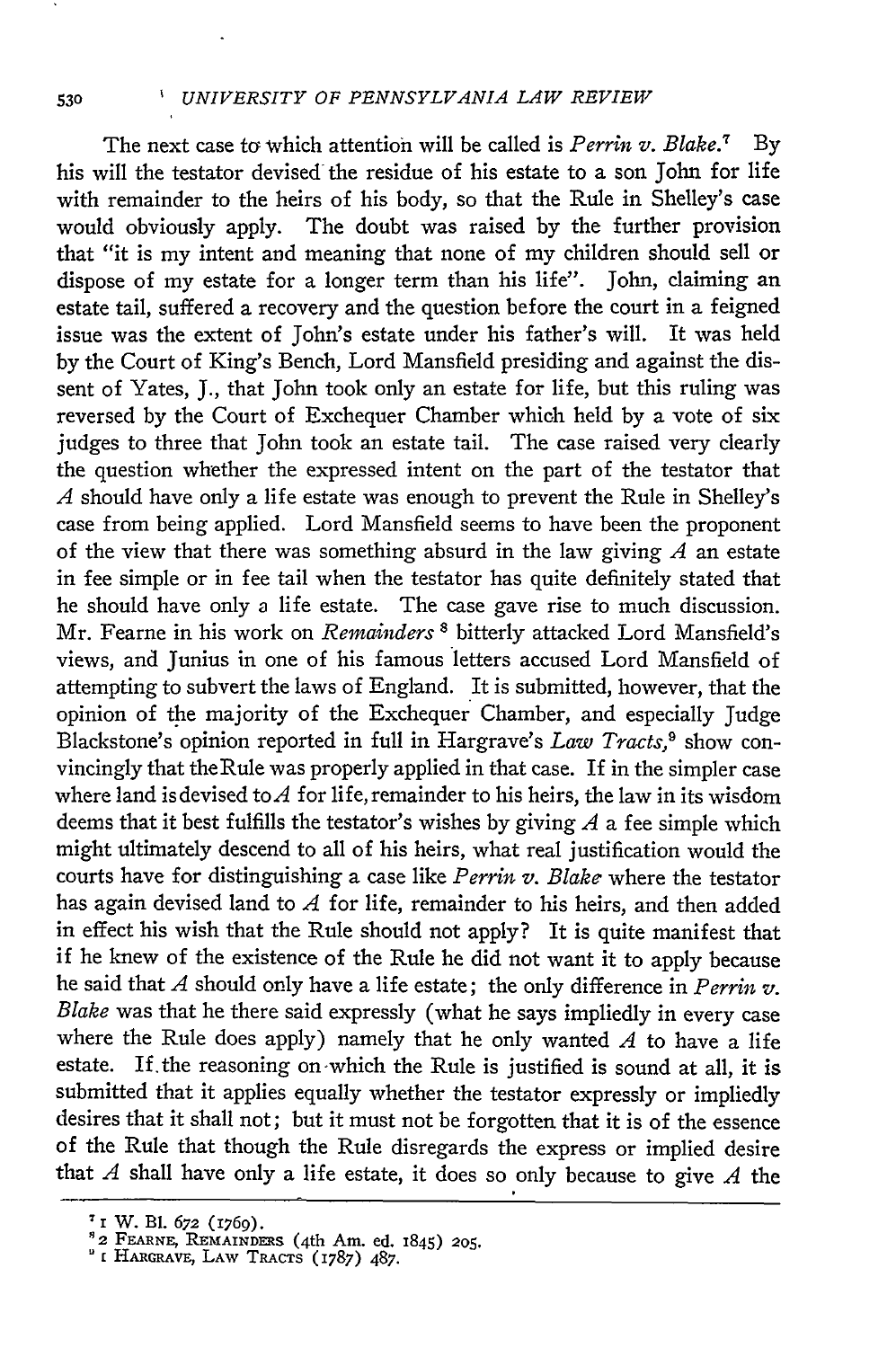#### **530** ' *UNIVERSITY OF PENNSYLVANIA LAW REVIEW*

The next case to which attention will be called is *Perrin v. Blake.*<sup>7</sup> By his will the testator devised the residue of his estate to a son John for life with remainder to the heirs of his body, so that the Rule in Shelley's case would obviously apply. The doubt was raised by the further provision that "it is my intent and meaning that none of my children should sell or dispose of my estate for a longer term than his life". John, claiming an estate tail, suffered a recovery and the question before the court in a feigned issue was the extent of John's estate under his father's will. It was held by the Court of King's Bench, Lord Mansfield presiding and against the dissent of Yates, **J.,** that John took only an estate for life, but this ruling was reversed by the Court of Exchequer Chamber which held by a vote of six judges to three that John took an estate tail. The case raised very clearly the question whether the expressed intent on the part of the testator that *A* should have only a life estate was enough to prevent the Rule in Shelley's case from being applied. Lord Mansfield seems to have been the proponent of the view that there was something absurd in the law giving *A* an estate in fee simple or in fee tail when the testator has quite definitely stated that he should have only a life estate. The case gave rise to much discussion. Mr. Fearne in his work on *Remainders* **8** bitterly attacked Lord Mansfield's views, and Junius in one of his famous letters accused Lord Mansfield of attempting to subvert the laws of England. It is submitted, however, that the opinion of the majority of the Exchequer Chamber, and especially Judge Blackstone's opinion reported in full in Hargrave's *Law Tracts*,<sup>9</sup> show convincingly that theRule was properly applied in that case. If in the simpler case where land is devised to  $A$  for life, remainder to his heirs, the law in its wisdom deems that it best fulfills the testator's wishes by giving *A* a fee simple which might ultimately descend to all of his heirs, what real justification would the courts have for distinguishing a case like *Perrin v. Blake* where the testator has again devised land to *A* for life, remainder to his heirs, and then added in effect his wish that the Rule should not apply? It is quite manifest that if he knew of the existence of the Rule he did not want it to apply because he said that *A* should only have a life estate; the only difference in *Perrin v. Blake* was that he there said expressly (what he says impliedly in every case where the Rule does apply) namely that he only wanted *A* to have a life estate. If.the reasoning on-which the Rule is justified is sound at all, it is submitted that it applies equally whether the testator expressly or impliedly desires that it shall not; but it must not be forgotten that it is of the essence of the Rule that though the Rule disregards the express or implied desire that *A* shall have only a life estate, it does so only because to give *A* the

**<sup>7</sup> <sup>i</sup>**W. B1. 672 (1769). 82 FFARNE, REMAINDmS (4th Am. ed. 1845) **205. E FEMALE, TUMATINDERS (401 THE CO.**<br>**[ HARGRAVE, LAW TRACTS (1787)** 487.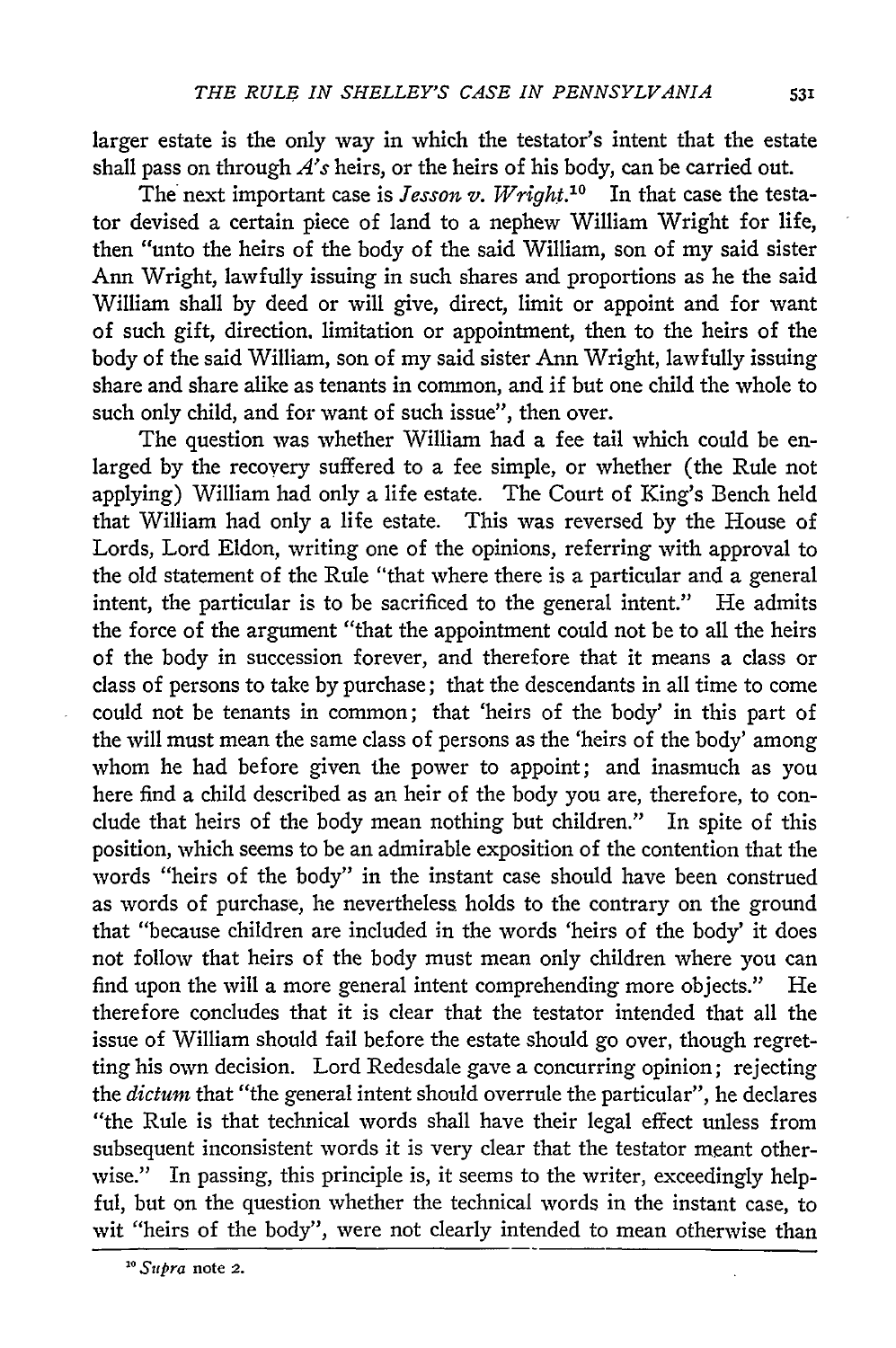larger estate is the only way in which the testator's intent that the estate shall pass on through *A's* heirs, or the heirs of his body, can be carried out.

The next important case is *lesson v. Wright.10* In that case the testator devised a certain piece of land to a nephew William Wright for life, then "unto the heirs of the body of the said William, son of my said sister Ann Wright, lawfully issuing in such shares and proportions as he the said William shall by deed or will give, direct, limit or appoint and for want of such gift, direction, limitation or appointment, then to the heirs of the body of the said William, son of my said sister Ann Wright, lawfully issuing share and share alike as tenants in common, and if but one child the whole to such only child, and for want of such issue", then over.

The question was whether William had a fee tail which could be enlarged by the recovery suffered to a fee simple, or whether (the Rule not applying) William had only a life estate. The Court of King's Bench held that William had only a life estate. This was reversed by the House of Lords, Lord Eldon, writing one of the opinions, referring with approval to the old statement of the Rule "that where there is a particular and a general intent, the particular is to be sacrificed to the general intent." He admits the force of the argument "that the appointment could not be to all the heirs of the body in succession forever, and therefore that it means a class or class of persons to take by purchase; that the descendants in all time to come could not be tenants in common; that 'heirs of the body' in this part of the will must mean the same class of persons as the 'heirs of the body' among whom he had before given the power to appoint; and inasmuch as you here find a child described as an heir of the body you are, therefore, to conclude that heirs of the body mean nothing but children." In spite of this position, which seems to be an admirable exposition of the contention that the words "heirs of the body" in the instant case should have been construed as words of purchase, he nevertheless holds to the contrary on the ground that "because children are included in the words 'heirs of the body' it does not follow that heirs of the body must mean only children where you can find upon the will a more general intent comprehending more objects." He therefore concludes that it is clear that the testator intended that all the issue of William should fail before the estate should go over, though regretting his own decision. Lord Redesdale gave a concurring opinion; rejecting the *dictum* that "the general intent should overrule the particular", he declares "the Rule is that technical words shall have their legal effect unless from subsequent inconsistent words it is very clear that the testator meant otherwise." In passing, this principle is, it seems to the writer, exceedingly helpful, but on the question whether the technical words in the instant case, to wit "heirs of the body", were not clearly intended to mean otherwise than

*<sup>&</sup>quot; Supra* note **2.**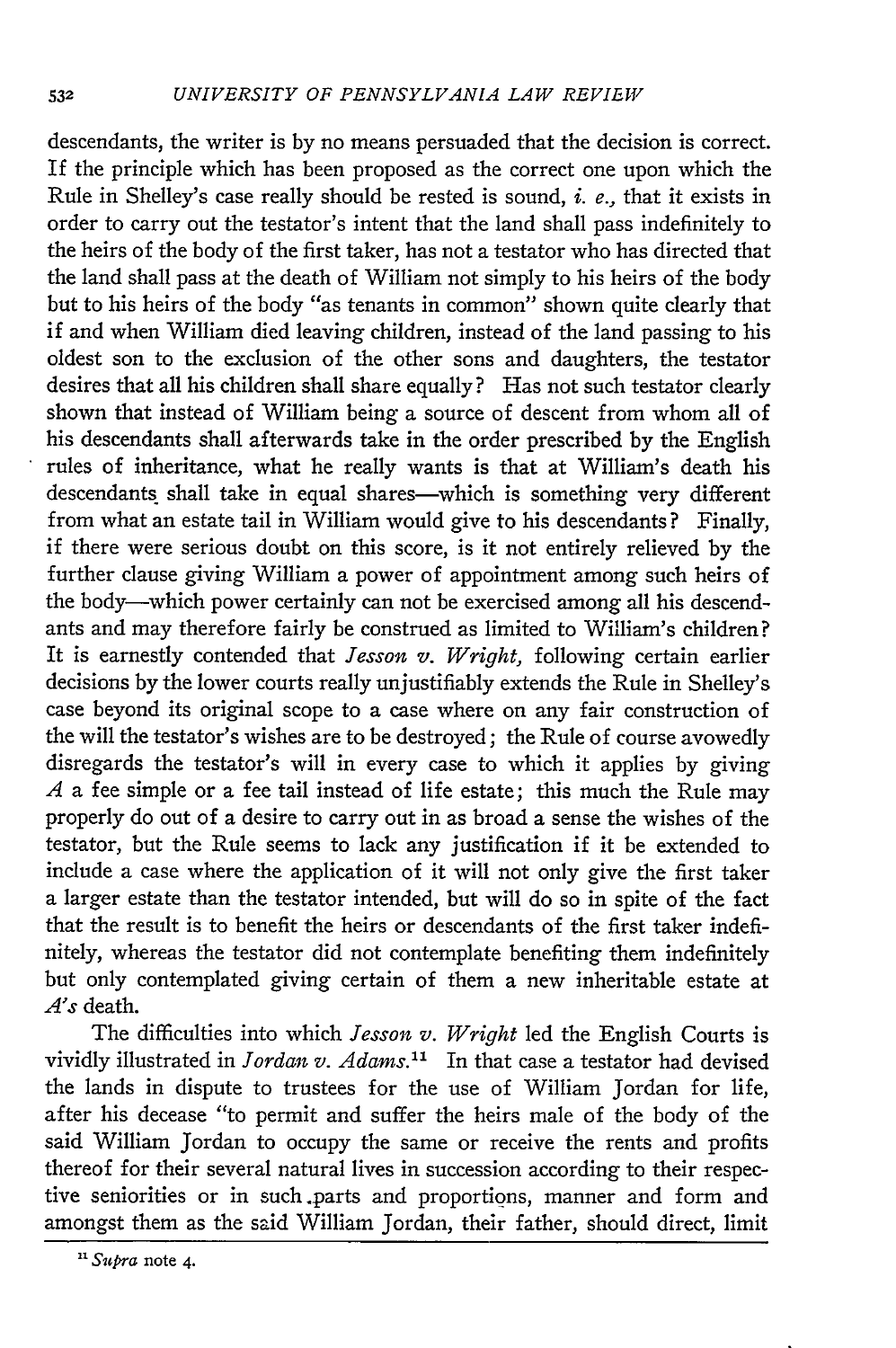descendants, the writer is by no means persuaded that the decision is correct. If the principle which has been proposed as the correct one upon which the Rule in Shelley's case really should be rested is sound, *i. e.,* that it exists in order to carry out the testator's intent that the land shall pass indefinitely to the heirs of the body of the first taker, has not a testator who has directed that the land shall pass at the death of William not simply to his heirs of the body but to his heirs of the body "as tenants in common" shown quite clearly that if and when William died leaving children, instead of the land passing to his oldest son to the exclusion of the other sons and daughters, the testator desires that all his children shall share equally? Has not such testator clearly shown that instead of William being a source of descent from whom all of his descendants shall afterwards take in the order prescribed **by** the English rules of inheritance, what he really wants is that at William's death his descendants shall take in equal shares-which is something very different from what an estate tail in William would give to his descendants? Finally, if there were serious doubt on this score, is it not entirely relieved **by** the further clause giving William a power of appointment among such heirs of the body-which power certainly can not be exercised among all his descendants and may therefore fairly be construed as limited to William's children? It is earnestly contended that *Jesson v. Wright,* following certain earlier decisions **by** the lower courts really unjustifiably extends the Rule in Shelley's case beyond its original scope to a case where on any fair construction of the will the testator's wishes are to be destroyed; the Rule of course avowedly disregards the testator's will in every case to which it applies **by** giving *A* a fee simple or a fee tail instead of life estate; this much the Rule may properly do out of a desire to carry out in as broad a sense the wishes of the testator, but the Rule seems to lack any justification if it be extended to include a case where the application of it will not only give the first taker a larger estate than the testator intended, but will do so in spite of the fact that the result is to benefit the heirs or descendants of the first taker indefinitely, whereas the testator did not contemplate benefiting them indefinitely but only contemplated giving certain of them a new inheritable estate at *A's* death.

The difficulties into which *lesson v. Wright* led the English Courts is vividly illustrated in Jordan *v. Adams."* In that case a testator had devised the lands in dispute to trustees for the use of William Jordan for life, after his decease "to permit and suffer the heirs male of the body of the said William Jordan to occupy the same or receive the rents and profits thereof for their several natural lives in succession according to their respective seniorities or in such parts and proportions, manner and form and amongst them as the said William Jordan, their father, should direct, limit

*<sup>&</sup>quot; Supra* note 4.